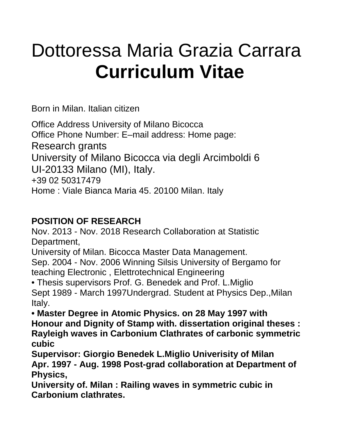# Dottoressa Maria Grazia Carrara **Curriculum Vitae**

Born in Milan. Italian citizen

Office Address University of Milano Bicocca Office Phone Number: E–mail address: Home page: Research grants University of Milano Bicocca via degli Arcimboldi 6 UI-20133 Milano (MI), Italy. +39 02 50317479 Home : Viale Bianca Maria 45. 20100 Milan. Italy

### **POSITION OF RESEARCH**

Nov. 2013 - Nov. 2018 Research Collaboration at Statistic Department,

University of Milan. Bicocca Master Data Management.

Sep. 2004 - Nov. 2006 Winning Silsis University of Bergamo for teaching Electronic , Elettrotechnical Engineering

• Thesis supervisors Prof. G. Benedek and Prof. L.Miglio Sept 1989 - March 1997Undergrad. Student at Physics Dep.,Milan Italy.

**• Master Degree in Atomic Physics. on 28 May 1997 with Honour and Dignity of Stamp with. dissertation original theses : Rayleigh waves in Carbonium Clathrates of carbonic symmetric cubic**

**Supervisor: Giorgio Benedek L.Miglio Univerisity of Milan Apr. 1997 - Aug. 1998 Post-grad collaboration at Department of Physics,**

**University of. Milan : Railing waves in symmetric cubic in Carbonium clathrates.**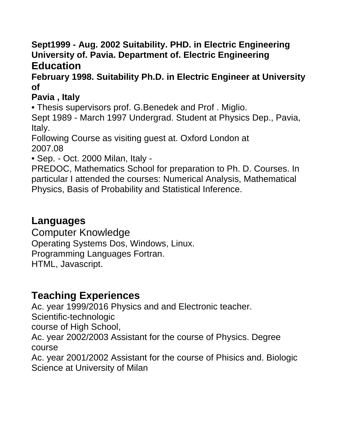**Sept1999 - Aug. 2002 Suitability. PHD. in Electric Engineering University of. Pavia. Department of. Electric Engineering Education** 

#### **February 1998. Suitability Ph.D. in Electric Engineer at University of**

#### **Pavia , Italy**

• Thesis supervisors prof. G.Benedek and Prof . Miglio.

Sept 1989 - March 1997 Undergrad. Student at Physics Dep., Pavia, Italy.

Following Course as visiting guest at. Oxford London at 2007.08

• Sep. - Oct. 2000 Milan, Italy -

PREDOC, Mathematics School for preparation to Ph. D. Courses. In particular I attended the courses: Numerical Analysis, Mathematical Physics, Basis of Probability and Statistical Inference.

## **Languages**

Computer Knowledge Operating Systems Dos, Windows, Linux. Programming Languages Fortran. HTML, Javascript.

## **Teaching Experiences**

Ac. year 1999/2016 Physics and and Electronic teacher. Scientific-technologic course of High School, Ac. year 2002/2003 Assistant for the course of Physics. Degree course Ac. year 2001/2002 Assistant for the course of Phisics and. Biologic Science at University of Milan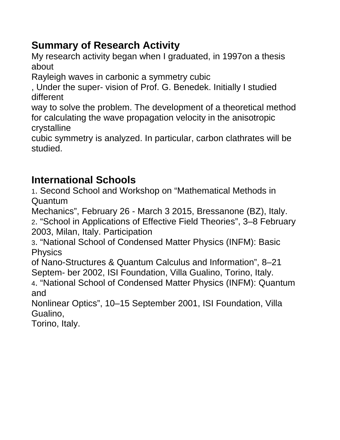# **Summary of Research Activity**

My research activity began when I graduated, in 1997on a thesis about

Rayleigh waves in carbonic a symmetry cubic

, Under the super- vision of Prof. G. Benedek. Initially I studied different

way to solve the problem. The development of a theoretical method for calculating the wave propagation velocity in the anisotropic crystalline

cubic symmetry is analyzed. In particular, carbon clathrates will be studied.

# **International Schools**

1. Second School and Workshop on "Mathematical Methods in Quantum

Mechanics", February 26 - March 3 2015, Bressanone (BZ), Italy.

2. "School in Applications of Effective Field Theories", 3–8 February 2003, Milan, Italy. Participation

3. "National School of Condensed Matter Physics (INFM): Basic **Physics** 

of Nano-Structures & Quantum Calculus and Information", 8–21 Septem- ber 2002, ISI Foundation, Villa Gualino, Torino, Italy.

4. "National School of Condensed Matter Physics (INFM): Quantum and

Nonlinear Optics", 10–15 September 2001, ISI Foundation, Villa Gualino,

Torino, Italy.